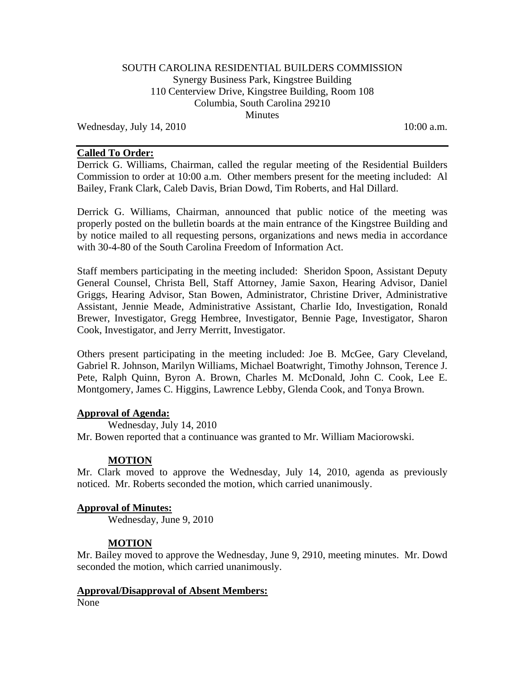### SOUTH CAROLINA RESIDENTIAL BUILDERS COMMISSION Synergy Business Park, Kingstree Building 110 Centerview Drive, Kingstree Building, Room 108 Columbia, South Carolina 29210 **Minutes**

Wednesday, July  $14$ ,  $2010$   $10:00$  a.m.

#### **Called To Order:**

Derrick G. Williams, Chairman, called the regular meeting of the Residential Builders Commission to order at 10:00 a.m. Other members present for the meeting included: Al Bailey, Frank Clark, Caleb Davis, Brian Dowd, Tim Roberts, and Hal Dillard.

Derrick G. Williams, Chairman, announced that public notice of the meeting was properly posted on the bulletin boards at the main entrance of the Kingstree Building and by notice mailed to all requesting persons, organizations and news media in accordance with 30-4-80 of the South Carolina Freedom of Information Act.

Staff members participating in the meeting included: Sheridon Spoon, Assistant Deputy General Counsel, Christa Bell, Staff Attorney, Jamie Saxon, Hearing Advisor, Daniel Griggs, Hearing Advisor, Stan Bowen, Administrator, Christine Driver, Administrative Assistant, Jennie Meade, Administrative Assistant, Charlie Ido, Investigation, Ronald Brewer, Investigator, Gregg Hembree, Investigator, Bennie Page, Investigator, Sharon Cook, Investigator, and Jerry Merritt, Investigator.

Others present participating in the meeting included: Joe B. McGee, Gary Cleveland, Gabriel R. Johnson, Marilyn Williams, Michael Boatwright, Timothy Johnson, Terence J. Pete, Ralph Quinn, Byron A. Brown, Charles M. McDonald, John C. Cook, Lee E. Montgomery, James C. Higgins, Lawrence Lebby, Glenda Cook, and Tonya Brown.

### **Approval of Agenda:**

 Wednesday, July 14, 2010 Mr. Bowen reported that a continuance was granted to Mr. William Maciorowski.

### **MOTION**

Mr. Clark moved to approve the Wednesday, July 14, 2010, agenda as previously noticed. Mr. Roberts seconded the motion, which carried unanimously.

### **Approval of Minutes:**

Wednesday, June 9, 2010

### **MOTION**

Mr. Bailey moved to approve the Wednesday, June 9, 2910, meeting minutes. Mr. Dowd seconded the motion, which carried unanimously.

### **Approval/Disapproval of Absent Members:**

None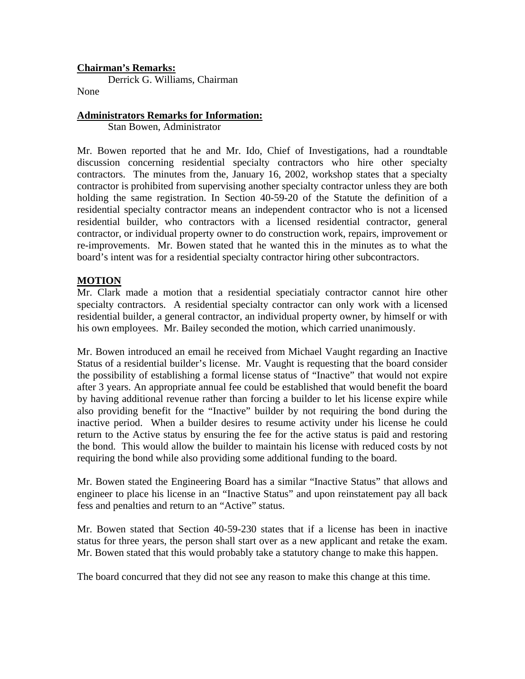### **Chairman's Remarks:**

Derrick G. Williams, Chairman

None

### **Administrators Remarks for Information:**

Stan Bowen, Administrator

Mr. Bowen reported that he and Mr. Ido, Chief of Investigations, had a roundtable discussion concerning residential specialty contractors who hire other specialty contractors. The minutes from the, January 16, 2002, workshop states that a specialty contractor is prohibited from supervising another specialty contractor unless they are both holding the same registration. In Section 40-59-20 of the Statute the definition of a residential specialty contractor means an independent contractor who is not a licensed residential builder, who contractors with a licensed residential contractor, general contractor, or individual property owner to do construction work, repairs, improvement or re-improvements. Mr. Bowen stated that he wanted this in the minutes as to what the board's intent was for a residential specialty contractor hiring other subcontractors.

### **MOTION**

Mr. Clark made a motion that a residential speciatialy contractor cannot hire other specialty contractors. A residential specialty contractor can only work with a licensed residential builder, a general contractor, an individual property owner, by himself or with his own employees. Mr. Bailey seconded the motion, which carried unanimously.

Mr. Bowen introduced an email he received from Michael Vaught regarding an Inactive Status of a residential builder's license. Mr. Vaught is requesting that the board consider the possibility of establishing a formal license status of "Inactive" that would not expire after 3 years. An appropriate annual fee could be established that would benefit the board by having additional revenue rather than forcing a builder to let his license expire while also providing benefit for the "Inactive" builder by not requiring the bond during the inactive period. When a builder desires to resume activity under his license he could return to the Active status by ensuring the fee for the active status is paid and restoring the bond. This would allow the builder to maintain his license with reduced costs by not requiring the bond while also providing some additional funding to the board.

Mr. Bowen stated the Engineering Board has a similar "Inactive Status" that allows and engineer to place his license in an "Inactive Status" and upon reinstatement pay all back fess and penalties and return to an "Active" status.

Mr. Bowen stated that Section 40-59-230 states that if a license has been in inactive status for three years, the person shall start over as a new applicant and retake the exam. Mr. Bowen stated that this would probably take a statutory change to make this happen.

The board concurred that they did not see any reason to make this change at this time.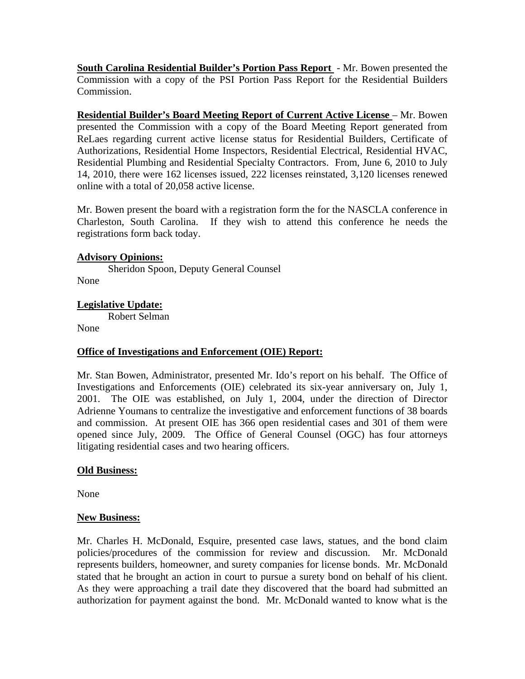**South Carolina Residential Builder's Portion Pass Report** - Mr. Bowen presented the Commission with a copy of the PSI Portion Pass Report for the Residential Builders Commission.

**Residential Builder's Board Meeting Report of Current Active License** – Mr. Bowen presented the Commission with a copy of the Board Meeting Report generated from ReLaes regarding current active license status for Residential Builders, Certificate of Authorizations, Residential Home Inspectors, Residential Electrical, Residential HVAC, Residential Plumbing and Residential Specialty Contractors. From, June 6, 2010 to July 14, 2010, there were 162 licenses issued, 222 licenses reinstated, 3,120 licenses renewed online with a total of 20,058 active license.

Mr. Bowen present the board with a registration form the for the NASCLA conference in Charleston, South Carolina. If they wish to attend this conference he needs the registrations form back today.

### **Advisory Opinions:**

 Sheridon Spoon, Deputy General Counsel None

### **Legislative Update:**

Robert Selman

None

### **Office of Investigations and Enforcement (OIE) Report:**

Mr. Stan Bowen, Administrator, presented Mr. Ido's report on his behalf. The Office of Investigations and Enforcements (OIE) celebrated its six-year anniversary on, July 1, 2001. The OIE was established, on July 1, 2004, under the direction of Director Adrienne Youmans to centralize the investigative and enforcement functions of 38 boards and commission. At present OIE has 366 open residential cases and 301 of them were opened since July, 2009. The Office of General Counsel (OGC) has four attorneys litigating residential cases and two hearing officers.

### **Old Business:**

None

### **New Business:**

Mr. Charles H. McDonald, Esquire, presented case laws, statues, and the bond claim policies/procedures of the commission for review and discussion. Mr. McDonald represents builders, homeowner, and surety companies for license bonds. Mr. McDonald stated that he brought an action in court to pursue a surety bond on behalf of his client. As they were approaching a trail date they discovered that the board had submitted an authorization for payment against the bond. Mr. McDonald wanted to know what is the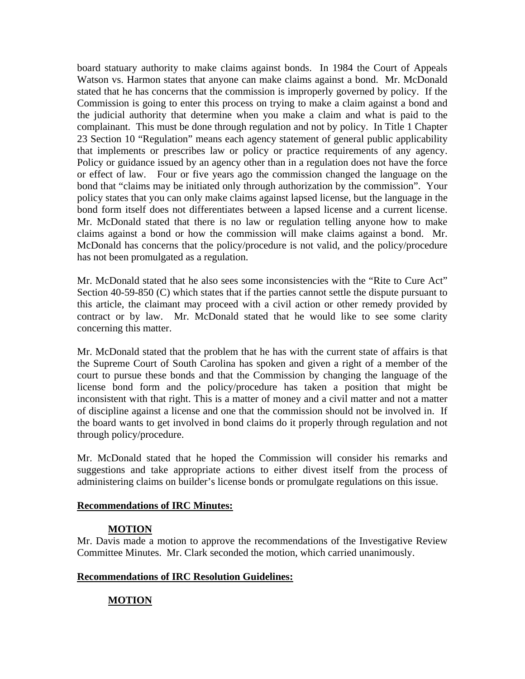board statuary authority to make claims against bonds. In 1984 the Court of Appeals Watson vs. Harmon states that anyone can make claims against a bond. Mr. McDonald stated that he has concerns that the commission is improperly governed by policy. If the Commission is going to enter this process on trying to make a claim against a bond and the judicial authority that determine when you make a claim and what is paid to the complainant. This must be done through regulation and not by policy. In Title 1 Chapter 23 Section 10 "Regulation" means each agency statement of general public applicability that implements or prescribes law or policy or practice requirements of any agency. Policy or guidance issued by an agency other than in a regulation does not have the force or effect of law. Four or five years ago the commission changed the language on the bond that "claims may be initiated only through authorization by the commission". Your policy states that you can only make claims against lapsed license, but the language in the bond form itself does not differentiates between a lapsed license and a current license. Mr. McDonald stated that there is no law or regulation telling anyone how to make claims against a bond or how the commission will make claims against a bond. Mr. McDonald has concerns that the policy/procedure is not valid, and the policy/procedure has not been promulgated as a regulation.

Mr. McDonald stated that he also sees some inconsistencies with the "Rite to Cure Act" Section 40-59-850 (C) which states that if the parties cannot settle the dispute pursuant to this article, the claimant may proceed with a civil action or other remedy provided by contract or by law. Mr. McDonald stated that he would like to see some clarity concerning this matter.

Mr. McDonald stated that the problem that he has with the current state of affairs is that the Supreme Court of South Carolina has spoken and given a right of a member of the court to pursue these bonds and that the Commission by changing the language of the license bond form and the policy/procedure has taken a position that might be inconsistent with that right. This is a matter of money and a civil matter and not a matter of discipline against a license and one that the commission should not be involved in. If the board wants to get involved in bond claims do it properly through regulation and not through policy/procedure.

Mr. McDonald stated that he hoped the Commission will consider his remarks and suggestions and take appropriate actions to either divest itself from the process of administering claims on builder's license bonds or promulgate regulations on this issue.

### **Recommendations of IRC Minutes:**

## **MOTION**

Mr. Davis made a motion to approve the recommendations of the Investigative Review Committee Minutes. Mr. Clark seconded the motion, which carried unanimously.

### **Recommendations of IRC Resolution Guidelines:**

## **MOTION**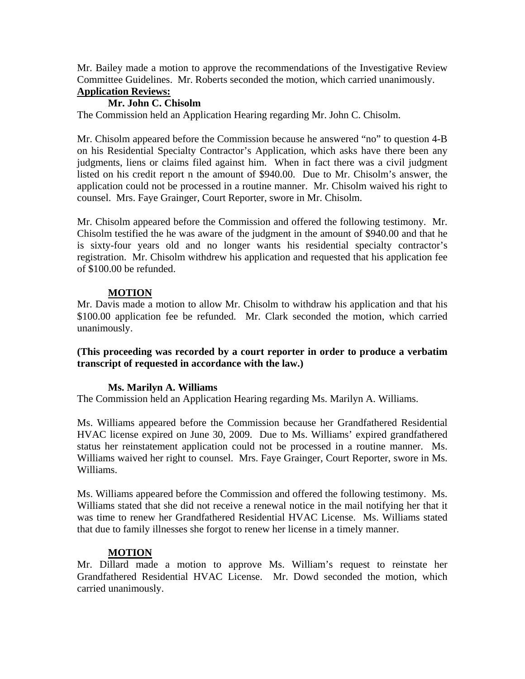Mr. Bailey made a motion to approve the recommendations of the Investigative Review Committee Guidelines. Mr. Roberts seconded the motion, which carried unanimously.

### **Application Reviews:**

### **Mr. John C. Chisolm**

The Commission held an Application Hearing regarding Mr. John C. Chisolm.

Mr. Chisolm appeared before the Commission because he answered "no" to question 4-B on his Residential Specialty Contractor's Application, which asks have there been any judgments, liens or claims filed against him. When in fact there was a civil judgment listed on his credit report n the amount of \$940.00. Due to Mr. Chisolm's answer, the application could not be processed in a routine manner. Mr. Chisolm waived his right to counsel. Mrs. Faye Grainger, Court Reporter, swore in Mr. Chisolm.

Mr. Chisolm appeared before the Commission and offered the following testimony. Mr. Chisolm testified the he was aware of the judgment in the amount of \$940.00 and that he is sixty-four years old and no longer wants his residential specialty contractor's registration. Mr. Chisolm withdrew his application and requested that his application fee of \$100.00 be refunded.

### **MOTION**

Mr. Davis made a motion to allow Mr. Chisolm to withdraw his application and that his \$100.00 application fee be refunded. Mr. Clark seconded the motion, which carried unanimously.

**(This proceeding was recorded by a court reporter in order to produce a verbatim transcript of requested in accordance with the law.)** 

## **Ms. Marilyn A. Williams**

The Commission held an Application Hearing regarding Ms. Marilyn A. Williams.

Ms. Williams appeared before the Commission because her Grandfathered Residential HVAC license expired on June 30, 2009. Due to Ms. Williams' expired grandfathered status her reinstatement application could not be processed in a routine manner. Ms. Williams waived her right to counsel. Mrs. Faye Grainger, Court Reporter, swore in Ms. Williams.

Ms. Williams appeared before the Commission and offered the following testimony. Ms. Williams stated that she did not receive a renewal notice in the mail notifying her that it was time to renew her Grandfathered Residential HVAC License. Ms. Williams stated that due to family illnesses she forgot to renew her license in a timely manner.

## **MOTION**

Mr. Dillard made a motion to approve Ms. William's request to reinstate her Grandfathered Residential HVAC License. Mr. Dowd seconded the motion, which carried unanimously.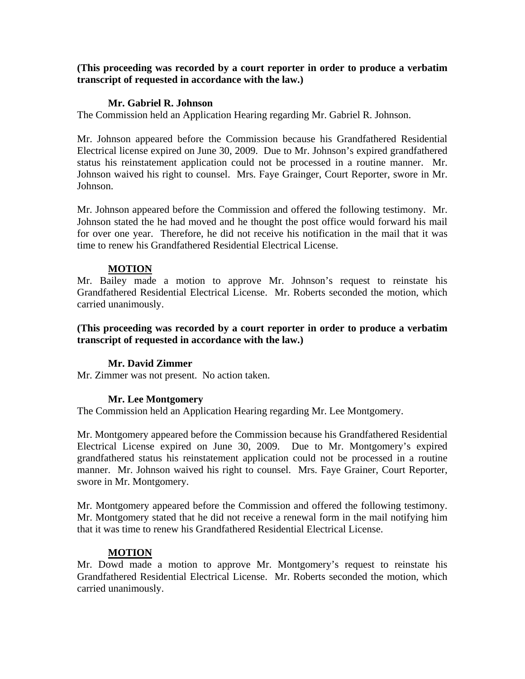#### **Mr. Gabriel R. Johnson**

The Commission held an Application Hearing regarding Mr. Gabriel R. Johnson.

Mr. Johnson appeared before the Commission because his Grandfathered Residential Electrical license expired on June 30, 2009. Due to Mr. Johnson's expired grandfathered status his reinstatement application could not be processed in a routine manner. Mr. Johnson waived his right to counsel. Mrs. Faye Grainger, Court Reporter, swore in Mr. Johnson.

Mr. Johnson appeared before the Commission and offered the following testimony. Mr. Johnson stated the he had moved and he thought the post office would forward his mail for over one year. Therefore, he did not receive his notification in the mail that it was time to renew his Grandfathered Residential Electrical License.

### **MOTION**

Mr. Bailey made a motion to approve Mr. Johnson's request to reinstate his Grandfathered Residential Electrical License. Mr. Roberts seconded the motion, which carried unanimously.

### **(This proceeding was recorded by a court reporter in order to produce a verbatim transcript of requested in accordance with the law.)**

### **Mr. David Zimmer**

Mr. Zimmer was not present. No action taken.

### **Mr. Lee Montgomery**

The Commission held an Application Hearing regarding Mr. Lee Montgomery.

Mr. Montgomery appeared before the Commission because his Grandfathered Residential Electrical License expired on June 30, 2009. Due to Mr. Montgomery's expired grandfathered status his reinstatement application could not be processed in a routine manner. Mr. Johnson waived his right to counsel. Mrs. Faye Grainer, Court Reporter, swore in Mr. Montgomery.

Mr. Montgomery appeared before the Commission and offered the following testimony. Mr. Montgomery stated that he did not receive a renewal form in the mail notifying him that it was time to renew his Grandfathered Residential Electrical License.

### **MOTION**

Mr. Dowd made a motion to approve Mr. Montgomery's request to reinstate his Grandfathered Residential Electrical License. Mr. Roberts seconded the motion, which carried unanimously.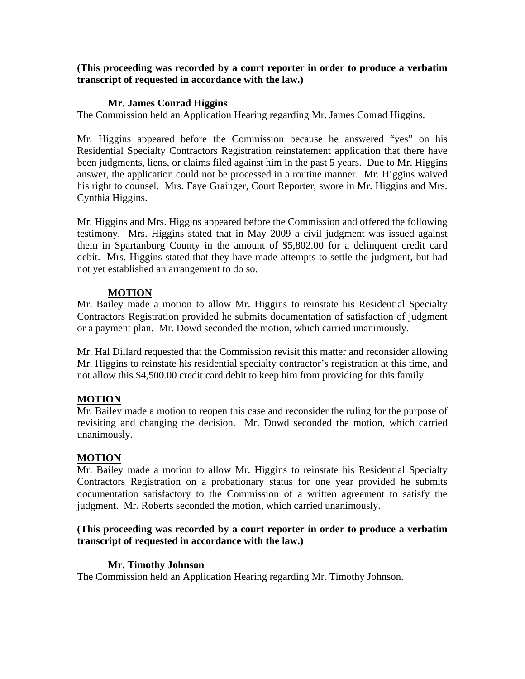### **Mr. James Conrad Higgins**

The Commission held an Application Hearing regarding Mr. James Conrad Higgins.

Mr. Higgins appeared before the Commission because he answered "yes" on his Residential Specialty Contractors Registration reinstatement application that there have been judgments, liens, or claims filed against him in the past 5 years. Due to Mr. Higgins answer, the application could not be processed in a routine manner. Mr. Higgins waived his right to counsel. Mrs. Faye Grainger, Court Reporter, swore in Mr. Higgins and Mrs. Cynthia Higgins.

Mr. Higgins and Mrs. Higgins appeared before the Commission and offered the following testimony. Mrs. Higgins stated that in May 2009 a civil judgment was issued against them in Spartanburg County in the amount of \$5,802.00 for a delinquent credit card debit. Mrs. Higgins stated that they have made attempts to settle the judgment, but had not yet established an arrangement to do so.

### **MOTION**

Mr. Bailey made a motion to allow Mr. Higgins to reinstate his Residential Specialty Contractors Registration provided he submits documentation of satisfaction of judgment or a payment plan. Mr. Dowd seconded the motion, which carried unanimously.

Mr. Hal Dillard requested that the Commission revisit this matter and reconsider allowing Mr. Higgins to reinstate his residential specialty contractor's registration at this time, and not allow this \$4,500.00 credit card debit to keep him from providing for this family.

## **MOTION**

Mr. Bailey made a motion to reopen this case and reconsider the ruling for the purpose of revisiting and changing the decision. Mr. Dowd seconded the motion, which carried unanimously.

## **MOTION**

Mr. Bailey made a motion to allow Mr. Higgins to reinstate his Residential Specialty Contractors Registration on a probationary status for one year provided he submits documentation satisfactory to the Commission of a written agreement to satisfy the judgment. Mr. Roberts seconded the motion, which carried unanimously.

### **(This proceeding was recorded by a court reporter in order to produce a verbatim transcript of requested in accordance with the law.)**

## **Mr. Timothy Johnson**

The Commission held an Application Hearing regarding Mr. Timothy Johnson.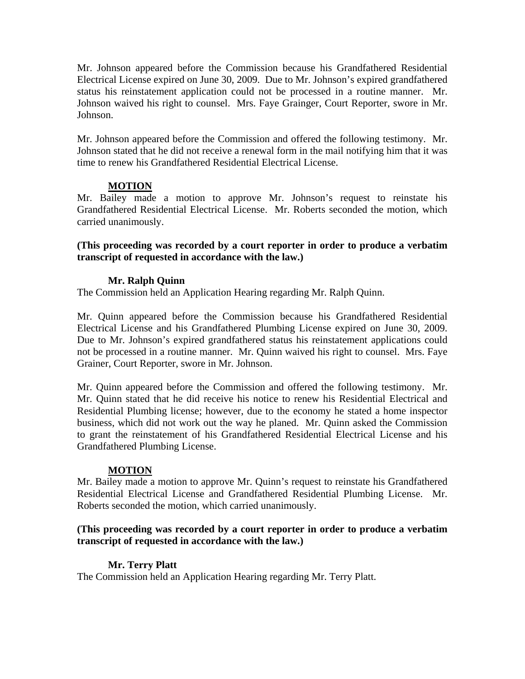Mr. Johnson appeared before the Commission because his Grandfathered Residential Electrical License expired on June 30, 2009. Due to Mr. Johnson's expired grandfathered status his reinstatement application could not be processed in a routine manner. Mr. Johnson waived his right to counsel. Mrs. Faye Grainger, Court Reporter, swore in Mr. Johnson.

Mr. Johnson appeared before the Commission and offered the following testimony. Mr. Johnson stated that he did not receive a renewal form in the mail notifying him that it was time to renew his Grandfathered Residential Electrical License.

## **MOTION**

Mr. Bailey made a motion to approve Mr. Johnson's request to reinstate his Grandfathered Residential Electrical License. Mr. Roberts seconded the motion, which carried unanimously.

**(This proceeding was recorded by a court reporter in order to produce a verbatim transcript of requested in accordance with the law.)** 

### **Mr. Ralph Quinn**

The Commission held an Application Hearing regarding Mr. Ralph Quinn.

Mr. Quinn appeared before the Commission because his Grandfathered Residential Electrical License and his Grandfathered Plumbing License expired on June 30, 2009. Due to Mr. Johnson's expired grandfathered status his reinstatement applications could not be processed in a routine manner. Mr. Quinn waived his right to counsel. Mrs. Faye Grainer, Court Reporter, swore in Mr. Johnson.

Mr. Quinn appeared before the Commission and offered the following testimony. Mr. Mr. Quinn stated that he did receive his notice to renew his Residential Electrical and Residential Plumbing license; however, due to the economy he stated a home inspector business, which did not work out the way he planed. Mr. Quinn asked the Commission to grant the reinstatement of his Grandfathered Residential Electrical License and his Grandfathered Plumbing License.

## **MOTION**

Mr. Bailey made a motion to approve Mr. Quinn's request to reinstate his Grandfathered Residential Electrical License and Grandfathered Residential Plumbing License. Mr. Roberts seconded the motion, which carried unanimously.

### **(This proceeding was recorded by a court reporter in order to produce a verbatim transcript of requested in accordance with the law.)**

## **Mr. Terry Platt**

The Commission held an Application Hearing regarding Mr. Terry Platt.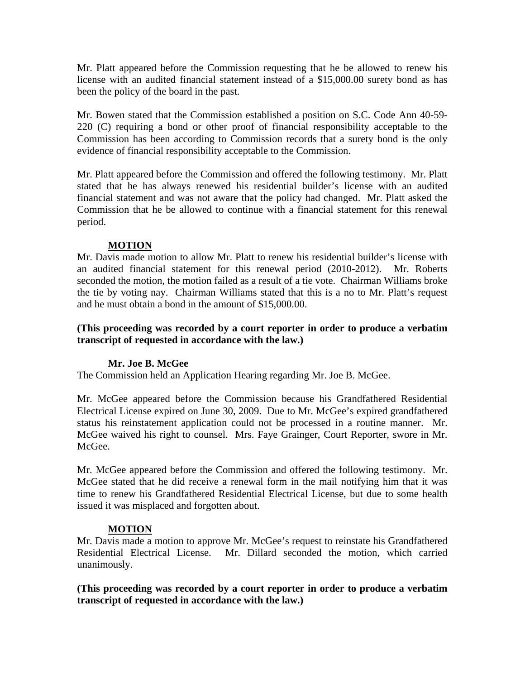Mr. Platt appeared before the Commission requesting that he be allowed to renew his license with an audited financial statement instead of a \$15,000.00 surety bond as has been the policy of the board in the past.

Mr. Bowen stated that the Commission established a position on S.C. Code Ann 40-59- 220 (C) requiring a bond or other proof of financial responsibility acceptable to the Commission has been according to Commission records that a surety bond is the only evidence of financial responsibility acceptable to the Commission.

Mr. Platt appeared before the Commission and offered the following testimony. Mr. Platt stated that he has always renewed his residential builder's license with an audited financial statement and was not aware that the policy had changed. Mr. Platt asked the Commission that he be allowed to continue with a financial statement for this renewal period.

## **MOTION**

Mr. Davis made motion to allow Mr. Platt to renew his residential builder's license with an audited financial statement for this renewal period (2010-2012). Mr. Roberts seconded the motion, the motion failed as a result of a tie vote. Chairman Williams broke the tie by voting nay. Chairman Williams stated that this is a no to Mr. Platt's request and he must obtain a bond in the amount of \$15,000.00.

### **(This proceeding was recorded by a court reporter in order to produce a verbatim transcript of requested in accordance with the law.)**

## **Mr. Joe B. McGee**

The Commission held an Application Hearing regarding Mr. Joe B. McGee.

Mr. McGee appeared before the Commission because his Grandfathered Residential Electrical License expired on June 30, 2009. Due to Mr. McGee's expired grandfathered status his reinstatement application could not be processed in a routine manner. Mr. McGee waived his right to counsel. Mrs. Faye Grainger, Court Reporter, swore in Mr. McGee.

Mr. McGee appeared before the Commission and offered the following testimony. Mr. McGee stated that he did receive a renewal form in the mail notifying him that it was time to renew his Grandfathered Residential Electrical License, but due to some health issued it was misplaced and forgotten about.

## **MOTION**

Mr. Davis made a motion to approve Mr. McGee's request to reinstate his Grandfathered Residential Electrical License. Mr. Dillard seconded the motion, which carried unanimously.

**(This proceeding was recorded by a court reporter in order to produce a verbatim transcript of requested in accordance with the law.)**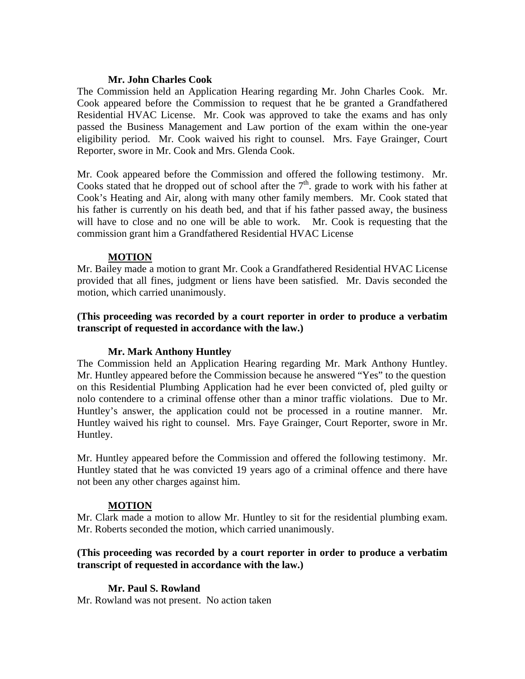### **Mr. John Charles Cook**

The Commission held an Application Hearing regarding Mr. John Charles Cook. Mr. Cook appeared before the Commission to request that he be granted a Grandfathered Residential HVAC License. Mr. Cook was approved to take the exams and has only passed the Business Management and Law portion of the exam within the one-year eligibility period. Mr. Cook waived his right to counsel. Mrs. Faye Grainger, Court Reporter, swore in Mr. Cook and Mrs. Glenda Cook.

Mr. Cook appeared before the Commission and offered the following testimony. Mr. Cooks stated that he dropped out of school after the  $7<sup>th</sup>$  grade to work with his father at Cook's Heating and Air, along with many other family members. Mr. Cook stated that his father is currently on his death bed, and that if his father passed away, the business will have to close and no one will be able to work. Mr. Cook is requesting that the commission grant him a Grandfathered Residential HVAC License

### **MOTION**

Mr. Bailey made a motion to grant Mr. Cook a Grandfathered Residential HVAC License provided that all fines, judgment or liens have been satisfied. Mr. Davis seconded the motion, which carried unanimously.

### **(This proceeding was recorded by a court reporter in order to produce a verbatim transcript of requested in accordance with the law.)**

### **Mr. Mark Anthony Huntley**

The Commission held an Application Hearing regarding Mr. Mark Anthony Huntley. Mr. Huntley appeared before the Commission because he answered "Yes" to the question on this Residential Plumbing Application had he ever been convicted of, pled guilty or nolo contendere to a criminal offense other than a minor traffic violations. Due to Mr. Huntley's answer, the application could not be processed in a routine manner. Mr. Huntley waived his right to counsel. Mrs. Faye Grainger, Court Reporter, swore in Mr. Huntley.

Mr. Huntley appeared before the Commission and offered the following testimony. Mr. Huntley stated that he was convicted 19 years ago of a criminal offence and there have not been any other charges against him.

### **MOTION**

Mr. Clark made a motion to allow Mr. Huntley to sit for the residential plumbing exam. Mr. Roberts seconded the motion, which carried unanimously.

### **(This proceeding was recorded by a court reporter in order to produce a verbatim transcript of requested in accordance with the law.)**

## **Mr. Paul S. Rowland**

Mr. Rowland was not present. No action taken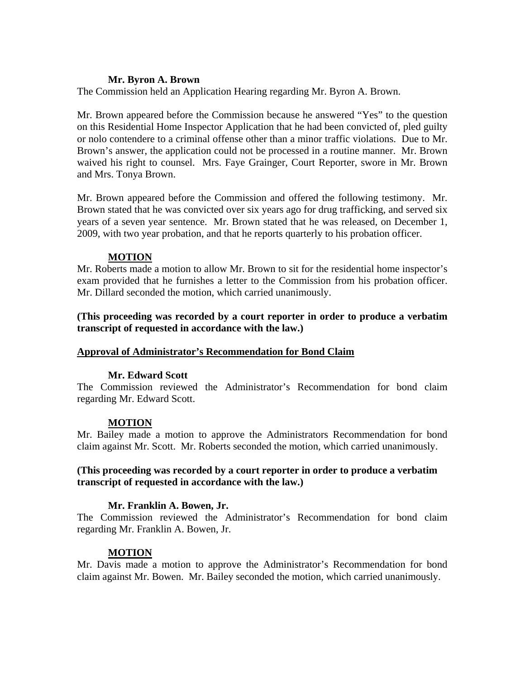### **Mr. Byron A. Brown**

The Commission held an Application Hearing regarding Mr. Byron A. Brown.

Mr. Brown appeared before the Commission because he answered "Yes" to the question on this Residential Home Inspector Application that he had been convicted of, pled guilty or nolo contendere to a criminal offense other than a minor traffic violations. Due to Mr. Brown's answer, the application could not be processed in a routine manner. Mr. Brown waived his right to counsel. Mrs. Faye Grainger, Court Reporter, swore in Mr. Brown and Mrs. Tonya Brown.

Mr. Brown appeared before the Commission and offered the following testimony. Mr. Brown stated that he was convicted over six years ago for drug trafficking, and served six years of a seven year sentence. Mr. Brown stated that he was released, on December 1, 2009, with two year probation, and that he reports quarterly to his probation officer.

### **MOTION**

Mr. Roberts made a motion to allow Mr. Brown to sit for the residential home inspector's exam provided that he furnishes a letter to the Commission from his probation officer. Mr. Dillard seconded the motion, which carried unanimously.

**(This proceeding was recorded by a court reporter in order to produce a verbatim transcript of requested in accordance with the law.)** 

### **Approval of Administrator's Recommendation for Bond Claim**

## **Mr. Edward Scott**

The Commission reviewed the Administrator's Recommendation for bond claim regarding Mr. Edward Scott.

### **MOTION**

Mr. Bailey made a motion to approve the Administrators Recommendation for bond claim against Mr. Scott. Mr. Roberts seconded the motion, which carried unanimously.

### **(This proceeding was recorded by a court reporter in order to produce a verbatim transcript of requested in accordance with the law.)**

### **Mr. Franklin A. Bowen, Jr.**

The Commission reviewed the Administrator's Recommendation for bond claim regarding Mr. Franklin A. Bowen, Jr.

### **MOTION**

Mr. Davis made a motion to approve the Administrator's Recommendation for bond claim against Mr. Bowen. Mr. Bailey seconded the motion, which carried unanimously.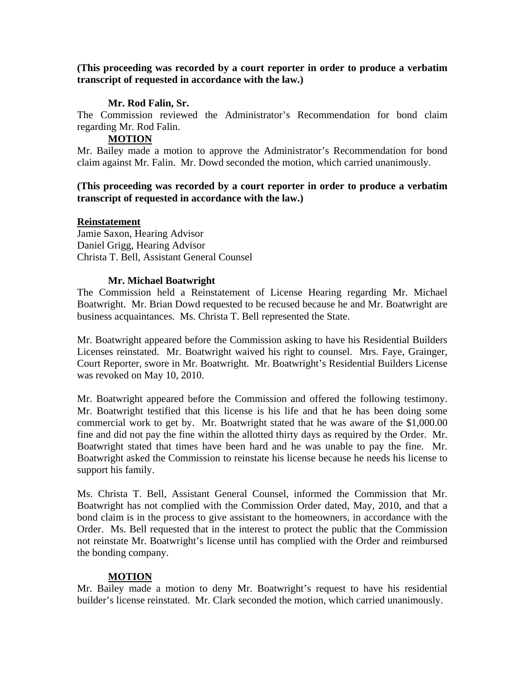### **Mr. Rod Falin, Sr.**

The Commission reviewed the Administrator's Recommendation for bond claim regarding Mr. Rod Falin.

### **MOTION**

Mr. Bailey made a motion to approve the Administrator's Recommendation for bond claim against Mr. Falin. Mr. Dowd seconded the motion, which carried unanimously.

### **(This proceeding was recorded by a court reporter in order to produce a verbatim transcript of requested in accordance with the law.)**

### **Reinstatement**

Jamie Saxon, Hearing Advisor Daniel Grigg, Hearing Advisor Christa T. Bell, Assistant General Counsel

### **Mr. Michael Boatwright**

The Commission held a Reinstatement of License Hearing regarding Mr. Michael Boatwright. Mr. Brian Dowd requested to be recused because he and Mr. Boatwright are business acquaintances. Ms. Christa T. Bell represented the State.

Mr. Boatwright appeared before the Commission asking to have his Residential Builders Licenses reinstated. Mr. Boatwright waived his right to counsel. Mrs. Faye, Grainger, Court Reporter, swore in Mr. Boatwright. Mr. Boatwright's Residential Builders License was revoked on May 10, 2010.

Mr. Boatwright appeared before the Commission and offered the following testimony. Mr. Boatwright testified that this license is his life and that he has been doing some commercial work to get by. Mr. Boatwright stated that he was aware of the \$1,000.00 fine and did not pay the fine within the allotted thirty days as required by the Order. Mr. Boatwright stated that times have been hard and he was unable to pay the fine. Mr. Boatwright asked the Commission to reinstate his license because he needs his license to support his family.

Ms. Christa T. Bell, Assistant General Counsel, informed the Commission that Mr. Boatwright has not complied with the Commission Order dated, May, 2010, and that a bond claim is in the process to give assistant to the homeowners, in accordance with the Order. Ms. Bell requested that in the interest to protect the public that the Commission not reinstate Mr. Boatwright's license until has complied with the Order and reimbursed the bonding company.

### **MOTION**

Mr. Bailey made a motion to deny Mr. Boatwright's request to have his residential builder's license reinstated. Mr. Clark seconded the motion, which carried unanimously.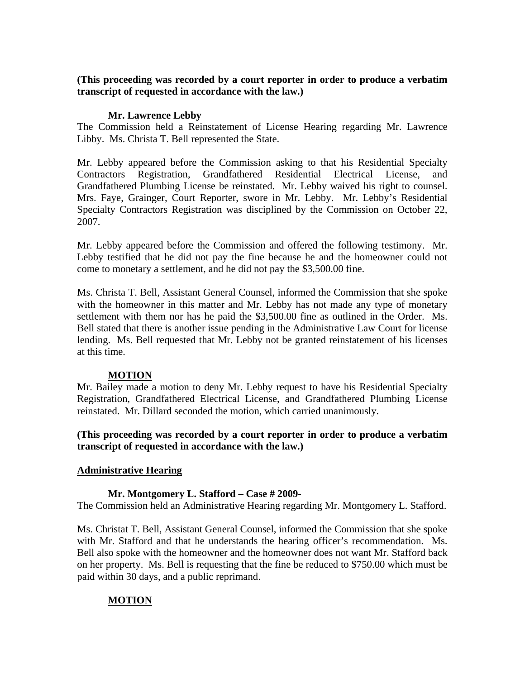### **Mr. Lawrence Lebby**

The Commission held a Reinstatement of License Hearing regarding Mr. Lawrence Libby. Ms. Christa T. Bell represented the State.

Mr. Lebby appeared before the Commission asking to that his Residential Specialty Contractors Registration, Grandfathered Residential Electrical License, and Grandfathered Plumbing License be reinstated. Mr. Lebby waived his right to counsel. Mrs. Faye, Grainger, Court Reporter, swore in Mr. Lebby. Mr. Lebby's Residential Specialty Contractors Registration was disciplined by the Commission on October 22, 2007.

Mr. Lebby appeared before the Commission and offered the following testimony. Mr. Lebby testified that he did not pay the fine because he and the homeowner could not come to monetary a settlement, and he did not pay the \$3,500.00 fine.

Ms. Christa T. Bell, Assistant General Counsel, informed the Commission that she spoke with the homeowner in this matter and Mr. Lebby has not made any type of monetary settlement with them nor has he paid the \$3,500.00 fine as outlined in the Order. Ms. Bell stated that there is another issue pending in the Administrative Law Court for license lending. Ms. Bell requested that Mr. Lebby not be granted reinstatement of his licenses at this time.

### **MOTION**

Mr. Bailey made a motion to deny Mr. Lebby request to have his Residential Specialty Registration, Grandfathered Electrical License, and Grandfathered Plumbing License reinstated. Mr. Dillard seconded the motion, which carried unanimously.

**(This proceeding was recorded by a court reporter in order to produce a verbatim transcript of requested in accordance with the law.)** 

## **Administrative Hearing**

### **Mr. Montgomery L. Stafford – Case # 2009-**

The Commission held an Administrative Hearing regarding Mr. Montgomery L. Stafford.

Ms. Christat T. Bell, Assistant General Counsel, informed the Commission that she spoke with Mr. Stafford and that he understands the hearing officer's recommendation. Ms. Bell also spoke with the homeowner and the homeowner does not want Mr. Stafford back on her property. Ms. Bell is requesting that the fine be reduced to \$750.00 which must be paid within 30 days, and a public reprimand.

## **MOTION**